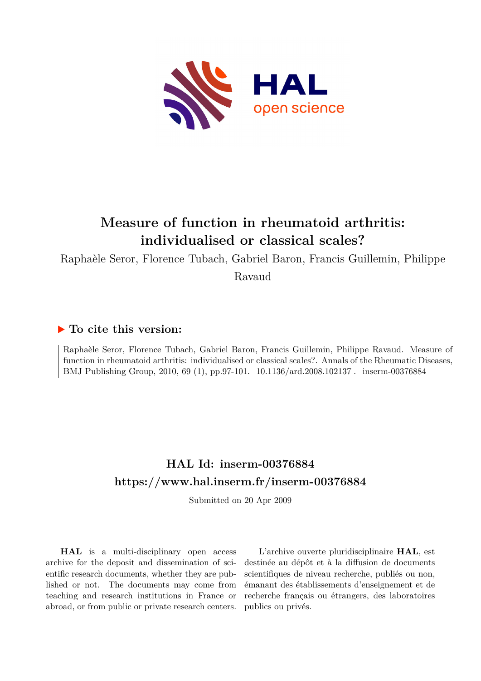

# **Measure of function in rheumatoid arthritis: individualised or classical scales?**

Raphaèle Seror, Florence Tubach, Gabriel Baron, Francis Guillemin, Philippe

Ravaud

## **To cite this version:**

Raphaèle Seror, Florence Tubach, Gabriel Baron, Francis Guillemin, Philippe Ravaud. Measure of function in rheumatoid arthritis: individualised or classical scales?. Annals of the Rheumatic Diseases, BMJ Publishing Group, 2010, 69 (1), pp.97-101. 10.1136/ard.2008.102137. inserm-00376884

## **HAL Id: inserm-00376884 <https://www.hal.inserm.fr/inserm-00376884>**

Submitted on 20 Apr 2009

**HAL** is a multi-disciplinary open access archive for the deposit and dissemination of scientific research documents, whether they are published or not. The documents may come from teaching and research institutions in France or abroad, or from public or private research centers.

L'archive ouverte pluridisciplinaire **HAL**, est destinée au dépôt et à la diffusion de documents scientifiques de niveau recherche, publiés ou non, émanant des établissements d'enseignement et de recherche français ou étrangers, des laboratoires publics ou privés.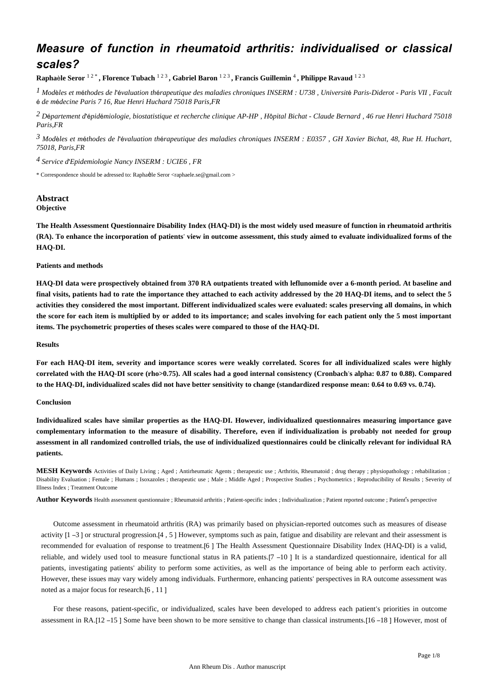## *Measure of function in rheumatoid arthritis: individualised or classical scales?*

**Rapha**è**le Seror** 1 2 \* **, Florence Tubach** 1 2 3 **, Gabriel Baron** 1 2 3 **, Francis Guillemin** <sup>4</sup> **, Philippe Ravaud** 1 2 3

*l* Modèles et méthodes de l'évaluation thérapeutique des maladies chroniques INSERM : U738 , Université Paris-Diderot - Paris VII , Facult é *de m*é*decine Paris 7 16, Rue Henri Huchard 75018 Paris,FR*

*D partement d pid miologie, biostatistique et recherche clinique 2* <sup>é</sup> 'é <sup>é</sup> *AP-HP , H*ô*pital Bichat - Claude Bernard , 46 rue Henri Huchard 75018 Paris,FR*

*Mod les et m thodes de l valuation th rapeutique des maladies chroniques 3* <sup>è</sup> <sup>é</sup> 'é <sup>é</sup> *INSERM : E0357 , GH Xavier Bichat, 48, Rue H. Huchart, 75018, Paris,FR*

*Service d Epidemiologie Nancy 4*  ' *INSERM : UCIE6 , FR*

\* Correspondence should be adressed to: Raphaèle Seror <raphaele.se@gmail.com >

#### **Abstract Objective**

**The Health Assessment Questionnaire Disability Index (HAQ-DI) is the most widely used measure of function in rheumatoid arthritis (RA). To enhance the incorporation of patients**' **view in outcome assessment, this study aimed to evaluate individualized forms of the HAQ-DI.**

#### **Patients and methods**

**HAQ-DI data were prospectively obtained from 370 RA outpatients treated with leflunomide over a 6-month period. At baseline and final visits, patients had to rate the importance they attached to each activity addressed by the 20 HAQ-DI items, and to select the 5 activities they considered the most important. Different individualized scales were evaluated: scales preserving all domains, in which the score for each item is multiplied by or added to its importance; and scales involving for each patient only the 5 most important items. The psychometric properties of theses scales were compared to those of the HAQ-DI.**

#### **Results**

**For each HAQ-DI item, severity and importance scores were weakly correlated. Scores for all individualized scales were highly correlated with the HAQ-DI score (rho>0.75). All scales had a good internal consistency (Cronbach**'**s alpha: 0.87 to 0.88). Compared to the HAQ-DI, individualized scales did not have better sensitivity to change (standardized response mean: 0.64 to 0.69 vs. 0.74).**

#### **Conclusion**

**Individualized scales have similar properties as the HAQ-DI. However, individualized questionnaires measuring importance gave complementary information to the measure of disability. Therefore, even if individualization is probably not needed for group assessment in all randomized controlled trials, the use of individualized questionnaires could be clinically relevant for individual RA patients.**

**MESH Keywords** Activities of Daily Living ; Aged ; Antirheumatic Agents ; therapeutic use ; Arthritis, Rheumatoid ; drug therapy ; physiopathology ; rehabilitation ; Disability Evaluation ; Female ; Humans ; Isoxazoles ; therapeutic use ; Male ; Middle Aged ; Prospective Studies ; Psychometrics ; Reproducibility of Results ; Severity of Illness Index ; Treatment Outcome

**Author Keywords** Health assessment questionnaire ; Rheumatoid arthritis ; Patient-specific index ; Individualization ; Patient reported outcome ; Patient's perspective

Outcome assessment in rheumatoid arthritis (RA) was primarily based on physician-reported outcomes such as measures of disease activity [1 –3 ] or structural progression.[4 , 5 ] However, symptoms such as pain, fatigue and disability are relevant and their assessment is recommended for evaluation of response to treatment.[6 ] The Health Assessment Questionnaire Disability Index (HAQ-DI) is a valid, reliable, and widely used tool to measure functional status in RA patients.[7 –10 ] It is a standardized questionnaire, identical for all patients, investigating patients' ability to perform some activities, as well as the importance of being able to perform each activity. However, these issues may vary widely among individuals. Furthermore, enhancing patients' perspectives in RA outcome assessment was noted as a major focus for research.[6 , 11 ]

For these reasons, patient-specific, or individualized, scales have been developed to address each patient's priorities in outcome assessment in RA.[12 –15 ] Some have been shown to be more sensitive to change than classical instruments.[16 –18 ] However, most of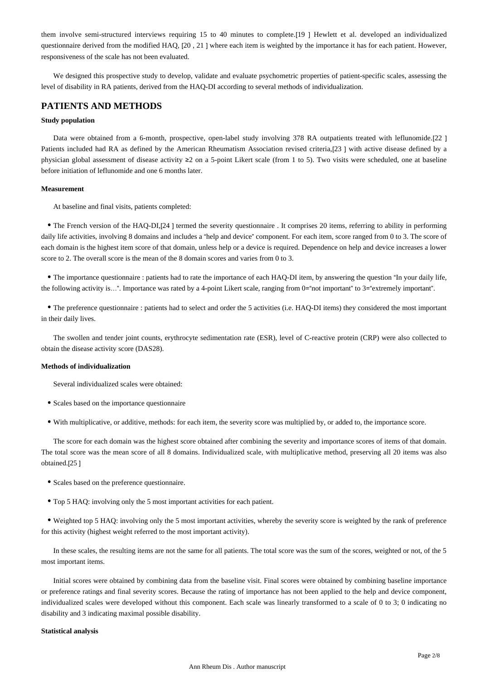them involve semi-structured interviews requiring 15 to 40 minutes to complete.[19 ] Hewlett et al. developed an individualized questionnaire derived from the modified HAQ, [20, 21] where each item is weighted by the importance it has for each patient. However, responsiveness of the scale has not been evaluated.

We designed this prospective study to develop, validate and evaluate psychometric properties of patient-specific scales, assessing the level of disability in RA patients, derived from the HAQ-DI according to several methods of individualization.

## **PATIENTS AND METHODS**

#### **Study population**

Data were obtained from a 6-month, prospective, open-label study involving 378 RA outpatients treated with leflunomide.[22] Patients included had RA as defined by the American Rheumatism Association revised criteria,[23 ] with active disease defined by a physician global assessment of disease activity ≥2 on a 5-point Likert scale (from 1 to 5). Two visits were scheduled, one at baseline before initiation of leflunomide and one 6 months later.

#### **Measurement**

At baseline and final visits, patients completed:

• The French version of the HAQ-DI,[24] termed the severity questionnaire . It comprises 20 items, referring to ability in performing daily life activities, involving 8 domains and includes a "help and device" component. For each item, score ranged from 0 to 3. The score of each domain is the highest item score of that domain, unless help or a device is required. Dependence on help and device increases a lower score to 2. The overall score is the mean of the 8 domain scores and varies from 0 to 3.

The importance questionnaire : patients had to rate the importance of each HAQ-DI item, by answering the question "In your daily life, the following activity is…". Importance was rated by a 4-point Likert scale, ranging from 0="not important" to 3="extremely important".

The preference questionnaire : patients had to select and order the 5 activities (i.e. HAQ-DI items) they considered the most important in their daily lives.

The swollen and tender joint counts, erythrocyte sedimentation rate (ESR), level of C-reactive protein (CRP) were also collected to obtain the disease activity score (DAS28).

#### **Methods of individualization**

Several individualized scales were obtained:

- Scales based on the importance questionnaire
- With multiplicative, or additive, methods: for each item, the severity score was multiplied by, or added to, the importance score.

The score for each domain was the highest score obtained after combining the severity and importance scores of items of that domain. The total score was the mean score of all 8 domains. Individualized scale, with multiplicative method, preserving all 20 items was also obtained.[25 ]

- Scales based on the preference questionnaire.
- Top 5 HAQ: involving only the 5 most important activities for each patient.

Weighted top 5 HAQ: involving only the 5 most important activities, whereby the severity score is weighted by the rank of preference for this activity (highest weight referred to the most important activity).

In these scales, the resulting items are not the same for all patients. The total score was the sum of the scores, weighted or not, of the 5 most important items.

Initial scores were obtained by combining data from the baseline visit. Final scores were obtained by combining baseline importance or preference ratings and final severity scores. Because the rating of importance has not been applied to the help and device component, individualized scales were developed without this component. Each scale was linearly transformed to a scale of 0 to 3; 0 indicating no disability and 3 indicating maximal possible disability.

#### **Statistical analysis**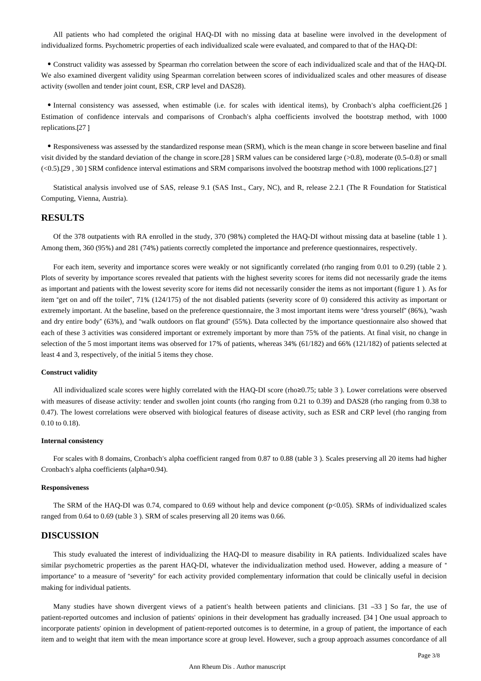All patients who had completed the original HAQ-DI with no missing data at baseline were involved in the development of individualized forms. Psychometric properties of each individualized scale were evaluated, and compared to that of the HAQ-DI:

Construct validity was assessed by Spearman rho correlation between the score of each individualized scale and that of the HAQ-DI. We also examined divergent validity using Spearman correlation between scores of individualized scales and other measures of disease activity (swollen and tender joint count, ESR, CRP level and DAS28).

Internal consistency was assessed, when estimable (i.e. for scales with identical items), by Cronbach's alpha coefficient.[26 ] Estimation of confidence intervals and comparisons of Cronbach's alpha coefficients involved the bootstrap method, with 1000 replications.[27 ]

Responsiveness was assessed by the standardized response mean (SRM), which is the mean change in score between baseline and final visit divided by the standard deviation of the change in score.[28 ] SRM values can be considered large (>0.8), moderate (0.5–0.8) or small (<0.5).[29 , 30 ] SRM confidence interval estimations and SRM comparisons involved the bootstrap method with 1000 replications.[27 ]

Statistical analysis involved use of SAS, release 9.1 (SAS Inst., Cary, NC), and R, release 2.2.1 (The R Foundation for Statistical Computing, Vienna, Austria).

## **RESULTS**

Of the 378 outpatients with RA enrolled in the study, 370 (98%) completed the HAQ-DI without missing data at baseline (table 1 ). Among them, 360 (95%) and 281 (74%) patients correctly completed the importance and preference questionnaires, respectively.

For each item, severity and importance scores were weakly or not significantly correlated (rho ranging from 0.01 to 0.29) (table 2). Plots of severity by importance scores revealed that patients with the highest severity scores for items did not necessarily grade the items as important and patients with the lowest severity score for items did not necessarily consider the items as not important (figure 1 ). As for item "get on and off the toilet", 71% (124/175) of the not disabled patients (severity score of 0) considered this activity as important or extremely important. At the baseline, based on the preference questionnaire, the 3 most important items were "dress yourself" (86%), "wash and dry entire body" (63%), and "walk outdoors on flat ground" (55%). Data collected by the importance questionnaire also showed that each of these 3 activities was considered important or extremely important by more than 75% of the patients. At final visit, no change in selection of the 5 most important items was observed for 17% of patients, whereas 34% (61/182) and 66% (121/182) of patients selected at least 4 and 3, respectively, of the initial 5 items they chose.

#### **Construct validity**

All individualized scale scores were highly correlated with the HAQ-DI score (rho≥0.75; table 3 ). Lower correlations were observed with measures of disease activity: tender and swollen joint counts (rho ranging from 0.21 to 0.39) and DAS28 (rho ranging from 0.38 to 0.47). The lowest correlations were observed with biological features of disease activity, such as ESR and CRP level (rho ranging from 0.10 to 0.18).

#### **Internal consistency**

For scales with 8 domains, Cronbach's alpha coefficient ranged from 0.87 to 0.88 (table 3 ). Scales preserving all 20 items had higher Cronbach's alpha coefficients (alpha=0.94).

#### **Responsiveness**

The SRM of the HAQ-DI was 0.74, compared to 0.69 without help and device component ( $p<0.05$ ). SRMs of individualized scales ranged from 0.64 to 0.69 (table 3 ). SRM of scales preserving all 20 items was 0.66.

### **DISCUSSION**

This study evaluated the interest of individualizing the HAQ-DI to measure disability in RA patients. Individualized scales have similar psychometric properties as the parent HAQ-DI, whatever the individualization method used. However, adding a measure of " importance" to a measure of "severity" for each activity provided complementary information that could be clinically useful in decision making for individual patients.

Many studies have shown divergent views of a patient's health between patients and clinicians. [31 –33 ] So far, the use of patient-reported outcomes and inclusion of patients' opinions in their development has gradually increased. [34 ] One usual approach to incorporate patients' opinion in development of patient-reported outcomes is to determine, in a group of patient, the importance of each item and to weight that item with the mean importance score at group level. However, such a group approach assumes concordance of all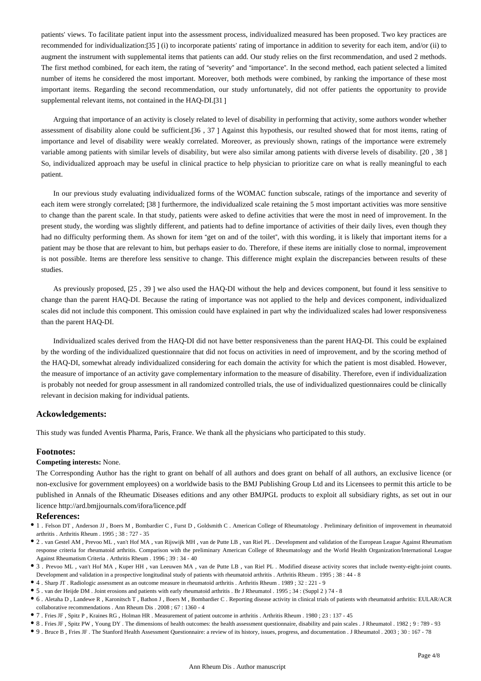patients' views. To facilitate patient input into the assessment process, individualized measured has been proposed. Two key practices are recommended for individualization:[35 ] (i) to incorporate patients' rating of importance in addition to severity for each item, and/or (ii) to augment the instrument with supplemental items that patients can add. Our study relies on the first recommendation, and used 2 methods. The first method combined, for each item, the rating of "severity" and "importance". In the second method, each patient selected a limited number of items he considered the most important. Moreover, both methods were combined, by ranking the importance of these most important items. Regarding the second recommendation, our study unfortunately, did not offer patients the opportunity to provide supplemental relevant items, not contained in the HAO-DI.[31]

Arguing that importance of an activity is closely related to level of disability in performing that activity, some authors wonder whether assessment of disability alone could be sufficient.[36 , 37 ] Against this hypothesis, our resulted showed that for most items, rating of importance and level of disability were weakly correlated. Moreover, as previously shown, ratings of the importance were extremely variable among patients with similar levels of disability, but were also similar among patients with diverse levels of disability. [20 , 38 ] So, individualized approach may be useful in clinical practice to help physician to prioritize care on what is really meaningful to each patient.

In our previous study evaluating individualized forms of the WOMAC function subscale, ratings of the importance and severity of each item were strongly correlated; [38 ] furthermore, the individualized scale retaining the 5 most important activities was more sensitive to change than the parent scale. In that study, patients were asked to define activities that were the most in need of improvement. In the present study, the wording was slightly different, and patients had to define importance of activities of their daily lives, even though they had no difficulty performing them. As shown for item "get on and of the toilet", with this wording, it is likely that important items for a patient may be those that are relevant to him, but perhaps easier to do. Therefore, if these items are initially close to normal, improvement is not possible. Items are therefore less sensitive to change. This difference might explain the discrepancies between results of these studies.

As previously proposed, [25 , 39 ] we also used the HAQ-DI without the help and devices component, but found it less sensitive to change than the parent HAQ-DI. Because the rating of importance was not applied to the help and devices component, individualized scales did not include this component. This omission could have explained in part why the individualized scales had lower responsiveness than the parent HAQ-DI.

Individualized scales derived from the HAQ-DI did not have better responsiveness than the parent HAQ-DI. This could be explained by the wording of the individualized questionnaire that did not focus on activities in need of improvement, and by the scoring method of the HAQ-DI, somewhat already individualized considering for each domain the activity for which the patient is most disabled. However, the measure of importance of an activity gave complementary information to the measure of disability. Therefore, even if individualization is probably not needed for group assessment in all randomized controlled trials, the use of individualized questionnaires could be clinically relevant in decision making for individual patients.

### **Ackowledgements:**

This study was funded Aventis Pharma, Paris, France. We thank all the physicians who participated to this study.

#### **Footnotes:**

#### **Competing interests:** None.

The Corresponding Author has the right to grant on behalf of all authors and does grant on behalf of all authors, an exclusive licence (or non-exclusive for government employees) on a worldwide basis to the BMJ Publishing Group Ltd and its Licensees to permit this article to be published in Annals of the Rheumatic Diseases editions and any other BMJPGL products to exploit all subsidiary rights, as set out in our licence http://ard.bmjjournals.com/ifora/licence.pdf

### **References:**

- 1 . Felson DT , Anderson JJ , Boers M , Bombardier C , Furst D , Goldsmith C . American College of Rheumatology . Preliminary definition of improvement in rheumatoid arthritis . Arthritis Rheum . 1995 ; 38 : 727 - 35
- 2 . van Gestel AM , Prevoo ML , van't Hof MA , van Rijswijk MH , van de Putte LB , van Riel PL . Development and validation of the European League Against Rheumatism response criteria for rheumatoid arthritis. Comparison with the preliminary American College of Rheumatology and the World Health Organization/International League Against Rheumatism Criteria . Arthritis Rheum . 1996 ; 39 : 34 - 40
- 3 . Prevoo ML , van't Hof MA , Kuper HH , van Leeuwen MA , van de Putte LB , van Riel PL . Modified disease activity scores that include twenty-eight-joint counts. Development and validation in a prospective longitudinal study of patients with rheumatoid arthritis . Arthritis Rheum . 1995 ; 38 : 44 - 8
- 4 . Sharp JT . Radiologic assessment as an outcome measure in rheumatoid arthritis . Arthritis Rheum . 1989 ; 32 : 221 9
- 5 . van der Heijde DM . Joint erosions and patients with early rheumatoid arthritis . Br J Rheumatol . 1995 ; 34 : (Suppl 2 ) 74 8
- 6 . Aletaha D , Landewe R , Karonitsch T , Bathon J , Boers M , Bombardier C . Reporting disease activity in clinical trials of patients with rheumatoid arthritis: EULAR/ACR collaborative recommendations . Ann Rheum Dis . 2008 ; 67 : 1360 - 4
- 7 . Fries JF , Spitz P , Kraines RG , Holman HR . Measurement of patient outcome in arthritis . Arthritis Rheum . 1980 ; 23 : 137 45
- 8 . Fries JF , Spitz PW , Young DY . The dimensions of health outcomes: the health assessment questionnaire, disability and pain scales . J Rheumatol . 1982 ; 9 : 789 93
- 9 . Bruce B , Fries JF . The Stanford Health Assessment Questionnaire: a review of its history, issues, progress, and documentation . J Rheumatol . 2003 ; 30 : 167 78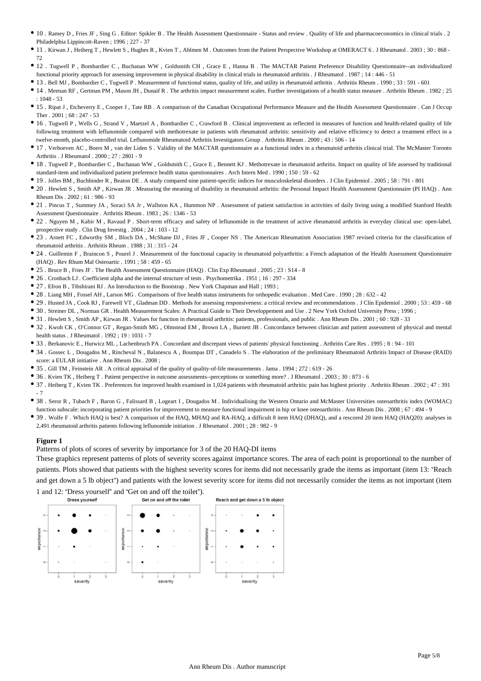- 10 . Ramey D , Fries JF , Sing G . Editor: Spikler B . The Health Assessment Questionnaire Status and review . Quality of life and pharmacoeconomics in clinical trials . 2 Philadelphia Lippincott-Raven ; 1996 ; 227 - 37
- 11 . Kirwan J , Heiberg T , Hewlett S , Hughes R , Kvien T , Ahlmen M . Outcomes from the Patient Perspective Workshop at OMERACT 6 . J Rheumatol . 2003 ; 30 : 868 72
- 12 . Tugwell P , Bombardier C , Buchanan WW , Goldsmith CH , Grace E , Hanna B . The MACTAR Patient Preference Disability Questionnaire--an individualized functional priority approach for assessing improvement in physical disability in clinical trials in rheumatoid arthritis . J Rheumatol . 1987 ; 14 : 446 - 51
- 13 . Bell MJ , Bombardier C , Tugwell P . Measurement of functional status, quality of life, and utility in rheumatoid arthritis . Arthritis Rheum . 1990 ; 33 : 591 601
- 14 . Meenan RF , Gertman PM , Mason JH , Dunaif R . The arthritis impact measurement scales. Further investigations of a health status measure . Arthritis Rheum . 1982 ; 25 : 1048 - 53
- 15 . Ripat J , Etcheverry E , Cooper J , Tate RB . A comparison of the Canadian Occupational Performance Measure and the Health Assessment Questionnaire . Can J Occup Ther . 2001 ; 68 : 247 - 53
- 16 . Tugwell P , Wells G , Strand V , Maetzel A , Bombardier C , Crawford B . Clinical improvement as reflected in measures of function and health-related quality of life following treatment with leflunomide compared with methotrexate in patients with rheumatoid arthritis: sensitivity and relative efficiency to detect a treatment effect in a twelve-month, placebo-controlled trial. Leflunomide Rheumatoid Arthritis Investigators Group . Arthritis Rheum . 2000 ; 43 : 506 - 14
- 17 . Verhoeven AC , Boers M , van der Liden S . Validity of the MACTAR questionnaire as a functional index in a rheumatoid arthritis clinical trial. The McMaster Toronto Arthritis . J Rheumatol . 2000 ; 27 : 2801 - 9
- 18 . Tugwell P , Bombardier C , Buchanan WW , Goldsmith C , Grace E , Bennett KJ . Methotrexate in rheumatoid arthritis. Impact on quality of life assessed by traditional standard-item and individualized patient preference health status questionnaires . Arch Intern Med . 1990 ; 150 : 59 - 62
- 19 . Jolles BM , Buchbinder R , Beaton DE . A study compared nine patient-specific indices for musculoskeletal disorders . J Clin Epidemiol . 2005 ; 58 : 791 801
- 20 . Hewlett S , Smith AP , Kirwan JR . Measuring the meaning of disability in rheumatoid arthritis: the Personal Impact Health Assessment Questionnaire (PI HAQ) . Ann Rheum Dis . 2002 ; 61 : 986 - 93
- 21 Pincus T , Summey JA , Soraci SA Jr , Wallston KA , Hummon NP . Assessment of patient satisfaction in activities of daily living using a modified Stanford Health Assessment Questionnaire . Arthritis Rheum . 1983 ; 26 : 1346 - 53
- 22 . Nguyen M , Kabir M , Ravaud P . Short-term efficacy and safety of leflunomide in the treatment of active rheumatoid arthritis in everyday clinical use: open-label, prospective study . Clin Drug Investig . 2004 ; 24 : 103 - 12
- <sup>•</sup> 23 . Arnett FC , Edworthy SM , Bloch DA , McShane DJ , Fries JF , Cooper NS . The American Rheumatism Association 1987 revised criteria for the classification of rheumatoid arthritis . Arthritis Rheum  $1988 \cdot 31 \cdot 315 = 24$
- 24 . Guillemin F , Braincon S , Pourel J . Measurement of the functional capacity in rheumatoid polyarthritis: a French adaptation of the Health Assessment Questionnaire (HAQ) . Rev Rhum Mal Osteoartic . 1991 ; 58 : 459 - 65
- 25 . Bruce B , Fries JF . The Health Assessment Questionnaire (HAQ) . Clin Exp Rheumatol . 2005 ; 23 : S14 8
- 26 . Cronbach LJ . Coefficient alpha and the internal structure of tests . Psychometrika . 1951 ; 16 : 297 334
- 27 . Efron B , Tibshirani RJ . An Introduction to the Bootstrap . New York Chapman and Hall ; 1993 ;
- 28 . Liang MH , Fossel AH , Larson MG . Comparisons of five health status instruments for orthopedic evaluation . Med Care . 1990 ; 28 : 632 42
- 29 . Husted JA , Cook RJ , Farewell VT , Gladman DD . Methods for assessing responsiveness: a critical review and recommendations . J Clin Epidemiol . 2000 ; 53 : 459 68
- 30 . Streiner DL , Norman GR . Health Measurement Scales: A Practical Guide to Their Developpement and Use . 2 New York Oxford University Press ; 1996 ;
- 31 . Hewlett S , Smith AP , Kirwan JR . Values for function in rheumatoid arthritis: patients, professionals, and public . Ann Rheum Dis . 2001 ; 60 : 928 33
- 32 . Kwoh CK , O'Connor GT , Regan-Smith MG , Olmstead EM , Brown LA , Burnett JB . Concordance between clinician and patient assessment of physical and mental health status . J Rheumatol . 1992 ; 19 : 1031 - 7
- 33 . Berkanovic E , Hurwicz ML , Lachenbruch PA . Concordant and discrepant views of patients' physical functioning . Arthritis Care Res . 1995 ; 8 : 94 101
- 34 . Gossec L , Dougados M , Rincheval N , Balanescu A , Boumpas DT , Canadelo S . The elaboration of the preliminary Rheumatoid Arthritis Impact of Disease (RAID) score: a EULAR initiative . Ann Rheum Dis . 2008 ;
- 35 . Gill TM , Feinstein AR . A critical appraisal of the quality of quality-of-life measurements . Jama . 1994 ; 272 : 619 26
- 36 . Kvien TK , Heiberg T . Patient perspective in outcome assessments--perceptions or something more? . J Rheumatol . 2003 ; 30 : 873 6
- 37 . Heiberg T , Kvien TK . Preferences for improved health examined in 1,024 patients with rheumatoid arthritis: pain has highest priority . Arthritis Rheum . 2002 ; 47 : 391 - 7
- 38 . Seror R , Tubach F , Baron G , Falissard B , Logeart I , Dougados M . Individualising the Western Ontario and McMaster Universities osteoarthritis index (WOMAC) function subscale: incorporating patient priorities for improvement to measure functional impairment in hip or knee osteoarthritis . Ann Rheum Dis . 2008 ; 67 : 494 - 9
- 39 . Wolfe F . Which HAQ is best? A comparison of the HAQ, MHAQ and RA-HAQ, a difficult 8 item HAQ (DHAQ), and a rescored 20 item HAQ (HAQ20): analyses in 2,491 rheumatoid arthritis patients following leflunomide initiation . J Rheumatol . 2001 ; 28 : 982 - 9

#### **Figure 1**

Patterns of plots of scores of severity by importance for 3 of the 20 HAQ-DI items

These graphics represent patterns of plots of severity scores against importance scores. The area of each point is proportional to the number of patients. Plots showed that patients with the highest severity scores for items did not necessarily grade the items as important (item 13: "Reach and get down a 5 lb object") and patients with the lowest severity score for items did not necessarily consider the items as not important (item 1 and 12: "Dress yourself" and "Get on and off the toilet").<br>Dress yourself

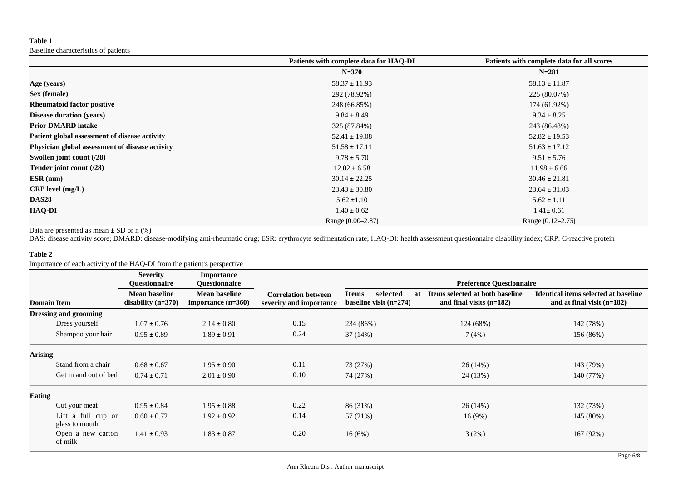## **Table 1**

Baseline characteristics of patients

|                                                 | Patients with complete data for HAQ-DI | Patients with complete data for all scores |
|-------------------------------------------------|----------------------------------------|--------------------------------------------|
|                                                 | $N = 370$                              | $N = 281$                                  |
| Age (years)                                     | $58.37 \pm 11.93$                      | $58.13 \pm 11.87$                          |
| Sex (female)                                    | 292 (78.92%)                           | 225 (80.07%)                               |
| <b>Rheumatoid factor positive</b>               | 248 (66.85%)                           | 174 (61.92%)                               |
| <b>Disease duration (years)</b>                 | $9.84 \pm 8.49$                        | $9.34 \pm 8.25$                            |
| <b>Prior DMARD intake</b>                       | 325 (87.84%)                           | 243 (86.48%)                               |
| Patient global assessment of disease activity   | $52.41 \pm 19.08$                      | $52.82 \pm 19.53$                          |
| Physician global assessment of disease activity | $51.58 \pm 17.11$                      | $51.63 \pm 17.12$                          |
| Swollen joint count (/28)                       | $9.78 \pm 5.70$                        | $9.51 \pm 5.76$                            |
| Tender joint count (/28)                        | $12.02 \pm 6.58$                       | $11.98 \pm 6.66$                           |
| $ESR$ (mm)                                      | $30.14 \pm 22.25$                      | $30.46 \pm 21.81$                          |
| $CRP$ level $(mg/L)$                            | $23.43 \pm 30.80$                      | $23.64 \pm 31.03$                          |
| <b>DAS28</b>                                    | $5.62 \pm 1.10$                        | $5.62 \pm 1.11$                            |
| <b>HAQ-DI</b>                                   | $1.40 \pm 0.62$                        | $1.41 \pm 0.61$                            |
|                                                 | Range [0.00–2.87]                      | Range [0.12–2.75]                          |

Data are presented as mean ± SD or n (%)

DAS: disease activity score; DMARD: disease-modifying anti-rheumatic drug; ESR: erythrocyte sedimentation rate; HAQ-DI: health assessment questionnaire disability index; CRP: C-reactive protein

## **Table 2**

Importance of each activity of the HAQ-DI from the patient's perspective

|                    |                                      | <b>Severity</b><br><b>Ouestionnaire</b>      | <b>Importance</b><br><b>Ouestionnaire</b>    |                                                       | <b>Preference Questionnaire</b>                     |                                                               |                                                                      |
|--------------------|--------------------------------------|----------------------------------------------|----------------------------------------------|-------------------------------------------------------|-----------------------------------------------------|---------------------------------------------------------------|----------------------------------------------------------------------|
| <b>Domain Item</b> |                                      | <b>Mean baseline</b><br>disability $(n=370)$ | <b>Mean baseline</b><br>importance $(n=360)$ | <b>Correlation between</b><br>severity and importance | selected<br>Items<br>at<br>baseline visit $(n=274)$ | Items selected at both baseline<br>and final visits $(n=182)$ | Identical items selected at baseline<br>and at final visit $(n=182)$ |
|                    | <b>Dressing and grooming</b>         |                                              |                                              |                                                       |                                                     |                                                               |                                                                      |
|                    | Dress yourself                       | $1.07 \pm 0.76$                              | $2.14 \pm 0.80$                              | 0.15                                                  | 234 (86%)                                           | 124 (68%)                                                     | 142 (78%)                                                            |
|                    | Shampoo your hair                    | $0.95 \pm 0.89$                              | $1.89 \pm 0.91$                              | 0.24                                                  | 37(14%)                                             | 7(4%)                                                         | 156 (86%)                                                            |
| <b>Arising</b>     |                                      |                                              |                                              |                                                       |                                                     |                                                               |                                                                      |
|                    | Stand from a chair                   | $0.68 \pm 0.67$                              | $1.95 \pm 0.90$                              | 0.11                                                  | 73 (27%)                                            | 26(14%)                                                       | 143 (79%)                                                            |
|                    | Get in and out of bed                | $0.74 \pm 0.71$                              | $2.01 \pm 0.90$                              | 0.10                                                  | 74 (27%)                                            | 24 (13%)                                                      | 140 (77%)                                                            |
| <b>Eating</b>      |                                      |                                              |                                              |                                                       |                                                     |                                                               |                                                                      |
|                    | Cut your meat                        | $0.95 \pm 0.84$                              | $1.95 \pm 0.88$                              | 0.22                                                  | 86 (31%)                                            | 26 (14%)                                                      | 132 (73%)                                                            |
|                    | Lift a full cup or<br>glass to mouth | $0.60 \pm 0.72$                              | $1.92 \pm 0.92$                              | 0.14                                                  | 57 (21%)                                            | 16(9%)                                                        | 145 (80%)                                                            |
|                    | Open a new carton<br>of milk         | $1.41 \pm 0.93$                              | $1.83 \pm 0.87$                              | 0.20                                                  | 16(6%)                                              | 3(2%)                                                         | 167 (92%)                                                            |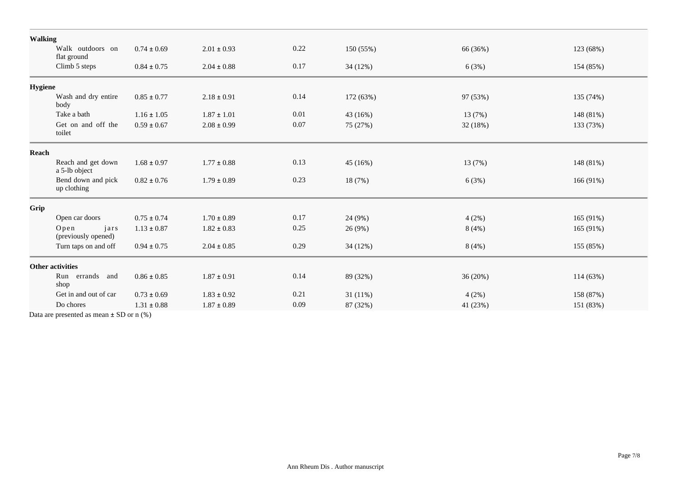|                         | <b>Walking</b>                      |                 |                 |      |            |          |           |
|-------------------------|-------------------------------------|-----------------|-----------------|------|------------|----------|-----------|
|                         | Walk outdoors on<br>flat ground     | $0.74 \pm 0.69$ | $2.01 \pm 0.93$ | 0.22 | 150 (55%)  | 66 (36%) | 123 (68%) |
|                         | Climb 5 steps                       | $0.84 \pm 0.75$ | $2.04 \pm 0.88$ | 0.17 | 34(12%)    | 6(3%)    | 154 (85%) |
| <b>Hygiene</b>          |                                     |                 |                 |      |            |          |           |
|                         | Wash and dry entire<br>body         | $0.85 \pm 0.77$ | $2.18 \pm 0.91$ | 0.14 | 172 (63%)  | 97 (53%) | 135 (74%) |
|                         | Take a bath                         | $1.16 \pm 1.05$ | $1.87 \pm 1.01$ | 0.01 | 43(16%)    | 13 (7%)  | 148 (81%) |
|                         | Get on and off the<br>toilet        | $0.59 \pm 0.67$ | $2.08 \pm 0.99$ | 0.07 | 75 (27%)   | 32 (18%) | 133 (73%) |
| Reach                   |                                     |                 |                 |      |            |          |           |
|                         | Reach and get down<br>a 5-lb object | $1.68 \pm 0.97$ | $1.77 \pm 0.88$ | 0.13 | 45 (16%)   | 13 (7%)  | 148 (81%) |
|                         | Bend down and pick<br>up clothing   | $0.82 \pm 0.76$ | $1.79 \pm 0.89$ | 0.23 | 18 (7%)    | 6(3%)    | 166 (91%) |
| Grip                    |                                     |                 |                 |      |            |          |           |
|                         | Open car doors                      | $0.75 \pm 0.74$ | $1.70 \pm 0.89$ | 0.17 | 24 (9%)    | 4(2%)    | 165 (91%) |
|                         | jars<br>Open<br>(previously opened) | $1.13 \pm 0.87$ | $1.82 \pm 0.83$ | 0.25 | 26(9%)     | 8(4%)    | 165 (91%) |
|                         | Turn taps on and off                | $0.94 \pm 0.75$ | $2.04 \pm 0.85$ | 0.29 | 34 (12%)   | 8(4%)    | 155 (85%) |
| <b>Other activities</b> |                                     |                 |                 |      |            |          |           |
|                         | Run errands and<br>shop             | $0.86 \pm 0.85$ | $1.87 \pm 0.91$ | 0.14 | 89 (32%)   | 36 (20%) | 114 (63%) |
|                         | Get in and out of car               | $0.73 \pm 0.69$ | $1.83 \pm 0.92$ | 0.21 | $31(11\%)$ | 4(2%)    | 158 (87%) |
|                         | Do chores                           | $1.31 \pm 0.88$ | $1.87 \pm 0.89$ | 0.09 | 87 (32%)   | 41 (23%) | 151 (83%) |
|                         |                                     |                 |                 |      |            |          |           |

Data are presented as mean ± SD or n (%)